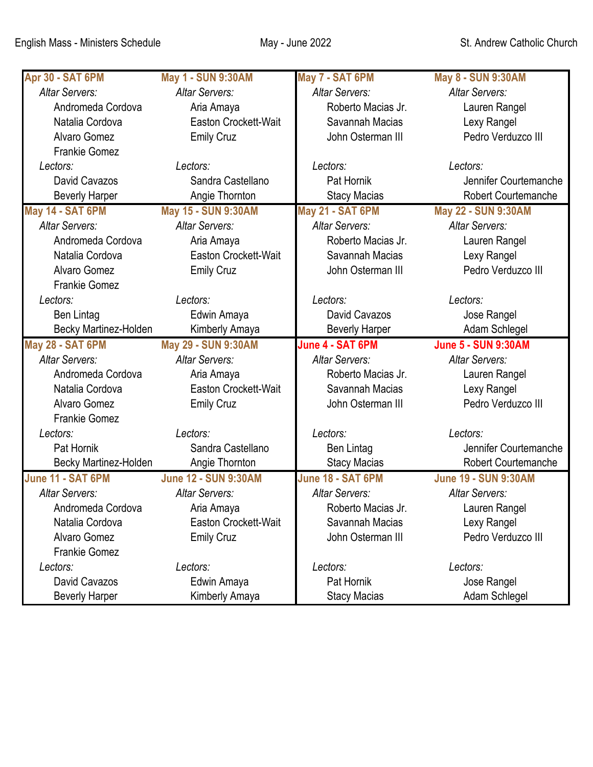| Apr 30 - SAT 6PM      | <b>May 1 - SUN 9:30AM</b>   | May 7 - SAT 6PM       | May 8 - SUN 9:30AM          |
|-----------------------|-----------------------------|-----------------------|-----------------------------|
| <b>Altar Servers:</b> | Altar Servers:              | <b>Altar Servers:</b> | <b>Altar Servers:</b>       |
| Andromeda Cordova     | Aria Amaya                  | Roberto Macias Jr.    | Lauren Rangel               |
| Natalia Cordova       | Easton Crockett-Wait        | Savannah Macias       | Lexy Rangel                 |
| Alvaro Gomez          | <b>Emily Cruz</b>           | John Osterman III     | Pedro Verduzco III          |
| <b>Frankie Gomez</b>  |                             |                       |                             |
| Lectors:              | Lectors:                    | Lectors:              | Lectors:                    |
| David Cavazos         | Sandra Castellano           | Pat Hornik            | Jennifer Courtemanche       |
| <b>Beverly Harper</b> | Angie Thornton              | <b>Stacy Macias</b>   | <b>Robert Courtemanche</b>  |
| May 14 - SAT 6PM      | May 15 - SUN 9:30AM         | May 21 - SAT 6PM      | May 22 - SUN 9:30AM         |
| <b>Altar Servers:</b> | <b>Altar Servers:</b>       | <b>Altar Servers:</b> | <b>Altar Servers:</b>       |
| Andromeda Cordova     | Aria Amaya                  | Roberto Macias Jr.    | Lauren Rangel               |
| Natalia Cordova       | Easton Crockett-Wait        | Savannah Macias       | Lexy Rangel                 |
| <b>Alvaro Gomez</b>   | <b>Emily Cruz</b>           | John Osterman III     | Pedro Verduzco III          |
| <b>Frankie Gomez</b>  |                             |                       |                             |
| Lectors:              | Lectors:                    | Lectors:              | Lectors:                    |
| Ben Lintag            | Edwin Amaya                 | David Cavazos         | Jose Rangel                 |
| Becky Martinez-Holden | Kimberly Amaya              | <b>Beverly Harper</b> | Adam Schlegel               |
| May 28 - SAT 6PM      | May 29 - SUN 9:30AM         | June 4 - SAT 6PM      | <b>June 5 - SUN 9:30AM</b>  |
| <b>Altar Servers:</b> | <b>Altar Servers:</b>       | <b>Altar Servers:</b> | <b>Altar Servers:</b>       |
| Andromeda Cordova     | Aria Amaya                  | Roberto Macias Jr.    | Lauren Rangel               |
| Natalia Cordova       | <b>Easton Crockett-Wait</b> | Savannah Macias       | Lexy Rangel                 |
| <b>Alvaro Gomez</b>   | <b>Emily Cruz</b>           | John Osterman III     | Pedro Verduzco III          |
| <b>Frankie Gomez</b>  |                             |                       |                             |
| Lectors:              | Lectors:                    | Lectors:              | Lectors:                    |
| Pat Hornik            | Sandra Castellano           | Ben Lintag            | Jennifer Courtemanche       |
| Becky Martinez-Holden | Angie Thornton              | <b>Stacy Macias</b>   | <b>Robert Courtemanche</b>  |
| June 11 - SAT 6PM     | <b>June 12 - SUN 9:30AM</b> | June 18 - SAT 6PM     | <b>June 19 - SUN 9:30AM</b> |
| <b>Altar Servers:</b> | <b>Altar Servers:</b>       | <b>Altar Servers:</b> | <b>Altar Servers:</b>       |
| Andromeda Cordova     | Aria Amaya                  | Roberto Macias Jr.    | Lauren Rangel               |
| Natalia Cordova       | Easton Crockett-Wait        | Savannah Macias       | Lexy Rangel                 |
| <b>Alvaro Gomez</b>   | <b>Emily Cruz</b>           | John Osterman III     | Pedro Verduzco III          |
| <b>Frankie Gomez</b>  |                             |                       |                             |
|                       |                             |                       |                             |
| Lectors:              | Lectors:                    | Lectors:              | Lectors:                    |
| David Cavazos         | Edwin Amaya                 | Pat Hornik            | Jose Rangel                 |